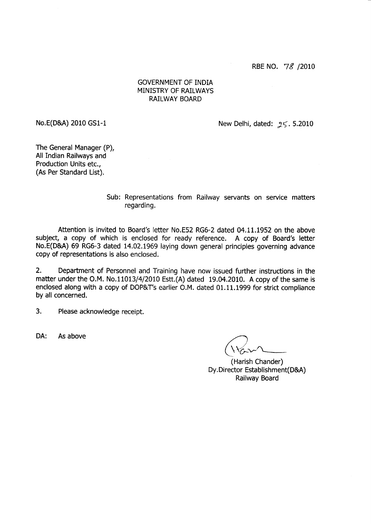RBE NO. 78 /2010

# GOVERNMENT OF INDIA MiNISTRY OF RAILWAYS RAILWAY BOARD

No.E(D&A) 2010 GS1-l

New Delhi, dated:  $25.5.2010$ 

The General Manager (P), All Indian Railways and Production Units etc., (As Per Standard List).

> Sub: Representations from Railway servants on seruice matters regarding.

Attention is invited to Board's letter No.E52 RG6-2 dated 04.11.1952 on the above subject, a copy of which is enclosed for ready reference. A copy of Board's letter No.E(D&A) 69 RG6-3 dated 14.02.1969 laying down general principles governing advance copy of representations is also enclosed.

2. Department of Personnel and Training have now issued fufther instructions in the matter under the O.M. No.11013/4/2010 Estt. $(A)$  dated 19.04.2010. A copy of the same is enclosed along with a copy of DOP&T's earlier O.M. dated 01.11.1999 for strict compliance by all concerned.

3. Please acknowledge receipt.

DA: As above

,')  $($  \ $\forall$ r $\sim$ 

(Harish Chander) Dy. Director Establishment(D&A) Railway Board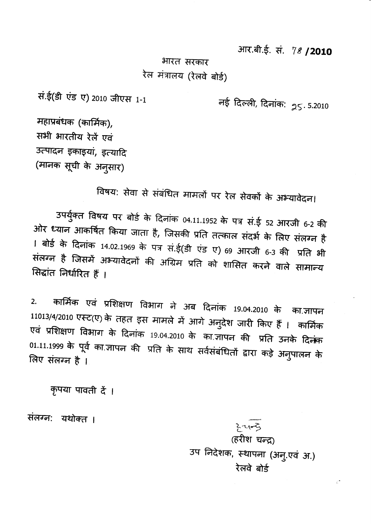आर.बी.ई. सं. 78 / 2010

भारत सरकार रेल मंत्रालय (रेलवे बोर्ड)

सं.ई(डी एंड ए) 2010 जीएस 1-1

नई दिल्ली, दिनांक: <sub>25</sub>.5.2010

महाप्रबंधक (कार्मिक), सभी भारतीय रेलें एवं उत्पादन इकाइयां, इत्यादि (मानक सूची के अनुसार)

विषय: सेवा से संबंधित मामलों पर रेल सेवकों के अभ्यावेदन।

उपर्युक्त विषय पर बोर्ड के दिनांक 04.11.1952 के पत्र सं.ई 52 आरजी 6-2 की ओर ध्यान आकर्षित किया जाता है, जिसकी प्रति तत्काल संदर्भ के लिए संलग्न है 1 बोर्ड के दिनांक 14.02.1969 के पत्र सं.ई(डी एंड ए) 69 आरजी 6-3 की प्रति भी संलग्न है जिसमें अभ्यावेदनों की अग्रिम प्रति को शासित करने वाले सामान्य सिद्धांत निर्धारित हैं।

कार्मिक एवं प्रशिक्षण विभाग ने अब दिनांक 19.04.2010 के का.ज्ञापन  $2.$ 11013/4/2010 एस्ट(ए) के तहत इस मामले में आगे अनुदेश जारी किए हैं । कार्मिक एवं प्रशिक्षण विभाग के दिनांक 19.04.2010 के का.जापन की प्रति उनके दिनंक 01.11.1999 के पूर्व का ज्ञापन की प्रति के साथ सर्वसंबंधितों द्वारा कड़े अनुपालन के लिए संलग्न है ।

कृपया पावती दें ।

संलग्न: यथोक्त ।

 $3 - 4 - 5$ (हरीश चन्द्र) उप निदेशक, स्थापना (अनु.एवं अ.) रेलवे बोर्ड

 $\mathbb{Z}^*$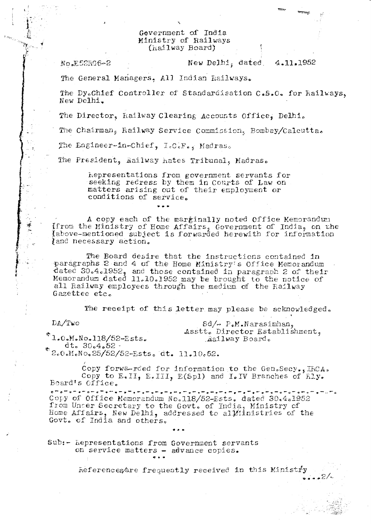#### Government of India Ministry of Railways (hailway Board)

No.E52RG6-2

New Delhi, dated 4.11.1952

The General Managers, All Indian Railways.

The Dy.Chief Controller of Standardisation C.S.O. for Kailways. New Delhi.

The Director, Kailway Clearing Accounts Office, Delhi.

The Chairman, Railway Service Commission, Bombay/Calcutta.

The Engineer-in-Chief, I.C.F., Madras.

The President, Railway hates Tribunal, Madras.

hepresentations from government servants for seeking redress by them in Courts of Law on matters arising out of their employment or conditions of service.

A copy each of the marginally noted Office Memorandum If rom the Ministry of Home Affairs, Government of India, on the Iabove-mentioned subject is forwarded herewith for information and necessary action.

The Board desire that the instructions contained in paragraphs 2 and 4 of the Home Ministry's Office Memorandum dated 30.4.1952, and those contained in paragraph 2 of their<br>Memorandum dated 11.10.1952 may be brought to the notice of<br>all Railway employees through the medium of the Railway Gazettee etc.

The receipt of this letter may please be acknowledged.

 $DA/Tw$ o

 $Sd/\sim P_{\bullet}M_{\bullet}Narsinhan_{\theta}$ Asstt. Director Establishment, Railway Board.

 $2/$ 

 $*1.0.$ M.No.118/52-Ests.  $dt = 30.4.52$ .

\*2.0.M.No.25/52/52-Ests. dt. 11.10.52.

Copy forwarded for information to the Gen.Secy., IRCA. Copy to  $E_{\bullet}II$ ,  $E_{\bullet}III$ ,  $E(Sp1)$  and  $I_{\bullet}IV$  Branches of  $\overline{h}Iy_{\bullet}$ Board's Office.

na ma ma ma ma ma m نہا سے سے پاسے سے سے سے سے سا ديا ساي ساي ساي سايستي ساي  $\sim$   $\sim$   $\sim$   $\sim$ - . <del>.</del> . . Copy of Office Memorandum No.118/52-Ests. dated 30.4.1952 from Uncer Secretary to the Govt. of India, Ministry of Home Affairs, New Delhi, addressed to all inistries of the Govt. of India and others.

Sub:- hepresentations from Government servants on service matters - advance copies.

References are frequently received in this Ministry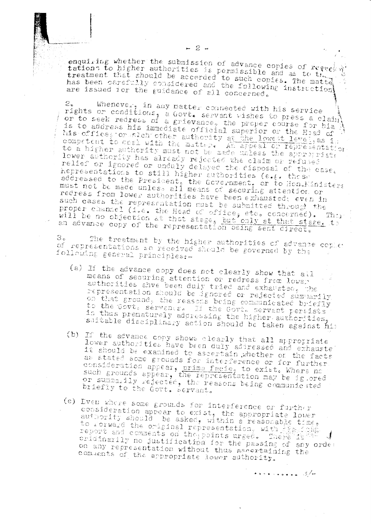enquiring whether the submission of advance copies of reverty tations to higher authorities is permissible and as to the treatment that should be accerded to such copies. The matte has been carefully considered and the following instruction are issued for the guidance of all concerned.

 $-2 -$ 

Whenever, in any matter connected with his service  $2<sub>z</sub>$ rights or conditions, a Govt. servant wishes to press a claim or to seek redress of a grievance, the proper course for him is to address his immediate official superior or the Head of his office, or stch other authority at the lowest level, as is competent to coal with the matter. An appeal or representation to a higher authority must not be nade unless the appropriate lower authority has already rejected the claim or refused relief or ignored or unduly delayed the risposal of the case. hepresentations to still higher authorities (e.g. these addressed to the President, the Government, or to Hon. Ministers must not be made unless all means of securing attention or redress from lower authorities have been exhausted; even in such cases the representation must be submitted through the proper channel (i.e. the Head of office, etc. concerned). Then<br>will be no objection at that stage, but only at that stage, to an advance copy of the representation being sent direct.

The treatment by the higher authorities of advance copies 3. of representations so received should be governed by the following general principles:-

- (a) If the advance copy does not clearly show that all means of securing attention or redress from lower authorities ahve been duly tried and exhausted, the representation should be ignored or rejected summarily on that ground, the reasons being communicated briefly to the Govt. servance. If the Govt. servent persists in thus prematurely addressing the higher authorities, suitable disciplinary action should be taken against him
- (b) If the advance copy shows clearly that all appropriate lower authorities have been duly addressed and exhauste it should be examined to ascertain whether or the facts as stated some grounds for interference or for further consideration appear, prima facie, to exist. Where no such grounds appear, the representation may be ig ored or summarily rejected, the reasons being communicated briefly to the Govt. Servant.
- (e) Even where some grounds for interference or further consideration appear to exist, the appropriate lover<br>authority should be asked, within a reasonable time, to rorward the original representation, with a series.  $\mathcal{L}$ eridinarily no justification for the passing of any order on any representation without thus assertaining the comments of the appropriate lower authority.

 $\leftrightarrow$   $\leftrightarrow$   $\leftrightarrow$   $\leftrightarrow$   $\leftrightarrow$   $\rightarrow$   $\rightarrow$   $\rightarrow$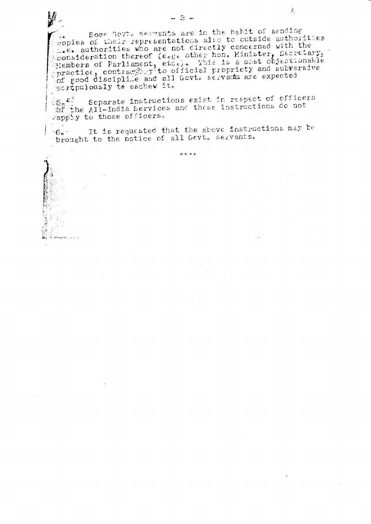Some Govt. servents are in the habit of sending copies of their representations also to outside authorities propries or their representations are to outside authorities<br>consideration thereof (e.g. other hon. Minister, Secretary,<br>sensideration thereof (e.g. other hon. Minister, Secretary,<br>similar of Parliament, etc.). This is a m escripulously te eschew it.

Separate instructions exist in respect of officers So <sup>21</sup> Separate instructions exist in respections do not<br>obt the All-India Services and these instructions do not rapply to those officers.

 $^{7}$ 6. It is requested that the above instructions may be prought to the notice of all Gevt. servants.

 $\alpha$   $\alpha$   $\alpha$ 

 $\mathcal{J}_\zeta$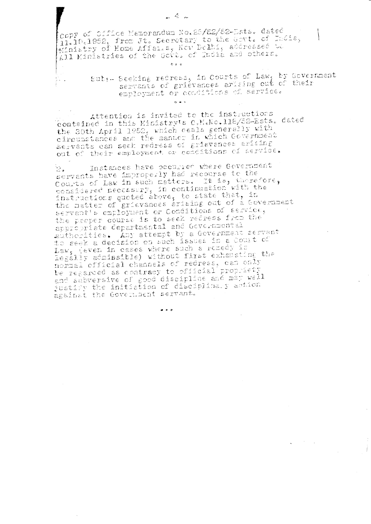拉。

copy of Cifice Memorandum No.25/22/52-Ests. dated ii.io.1952, from Jt. Secretary to the Govt. of India, Afnistry of Home Affairs, New Delhi, addressed to All Ministries of the Govt, of India and others.  $600$ 

> Subs- Seeking redress, in Courts of Law, by Government servents of grievances arising out of their employment or conditions of service.

Attention is invited to the instructions contained in this Ministry's O.M.No.118/52-Ests. dated the 30th April 1952, which ceals generally with circumstances and the manner in which Covernment Servants can seek redress of grievances arising out of their employment or conditions of service.

 $6 - 5$ 

Instances have occurred where Government  $2.1$ servents have improperly had recourse to the Courts of Law in such metters. It is, therefore, considered necessary, in continuation with the instructions quoted above, to state that, in the matter of grievances arising out of a Government servant's employment or Conditions of service, the preper course is to seek refress from the appropriate cepartmental and Governmental eutherities. Any attempt by a Government servent to seek a decision on such issues in a court of Law, (even in cases where such a remedy is legally adminsible) without first exhausting the normal cfficial channels of redress, can only be regarded as contracy to official propriety and subversive of good discipline and may well justify the initiation of cisciplinary action against the Government servant.

 $\bullet$   $\bullet$   $\bullet$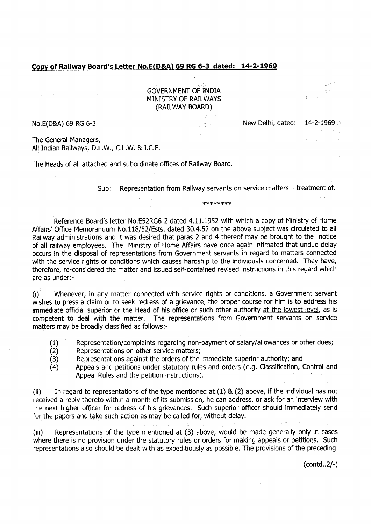## Copy of Railway Board's Letter No.E(D&A) 69 RG 6-3 dated: 14-2-1969

 $\label{eq:2.1} \frac{1}{2} \int_{\mathbb{R}^2} \int_{\mathbb{R}^2} \left| \frac{1}{2} \left( \frac{1}{2} \sum_{i=1}^2 \frac{1}{2} \sum_{j=1}^2 \frac{1}{2} \sum_{j=1}^2 \frac{1}{2} \sum_{j=1}^2 \frac{1}{2} \sum_{j=1}^2 \frac{1}{2} \sum_{j=1}^2 \frac{1}{2} \sum_{j=1}^2 \frac{1}{2} \sum_{j=1}^2 \frac{1}{2} \sum_{j=1}^2 \frac{1}{2} \sum_{j=1}^2 \frac{1}{2}$ 

**GOVERNMENT OF INDIA<br>MINISTRY OF RAILWAYS<br>(RAILWAY BOARD)** 

No.E(D&A) 69 RG 6-3

∄ ÷i

New Delhi, dated: 14-2-1969.

**THE STATE** 

 $\sim 10^{-1}$  km s  $^{-1}$ 

The General Managers, All Indian Railways, D.L.W., C.L.W. & LC.F.

The Heads of all attached and subordinate offices of Railway Board.

Sub: Representation from Railway servants on service matters - treatment of.

합을 하다  $\{ \mathcal{P}, \mathcal{P} \}$ 

\*>F\*\*\*\*\*\*

Reference Board's letter No.E52RG6-2 dated 4.11.1952 with which a copy of Ministry of Home Affairs'Office Memorandum No.118/52/Ests. dated 30.4.52 on the above subject was circulated to all Railway administrations and it was desired that paras 2 and 4 thereof may be brought to the notice of all railway employees. The Ministry of Home Affairs have once again intimated that undue delay occurs in the disposal of representations from Government seruants in regard to matters connected with the seruice rights or conditions which causes hardship to the individuals concerned. They have, therefore, re-considered the matter and issued self-contained revised instructions in this regard which are as under:-

 $(i)$ Whenever, in any matter connected with service rights or conditions, a Government servant wishes to press a claim or to seek redress of a grievance, the proper course for him is to address his immediate official superior or the Head of his office or such other authority at the lowest level, as is competent to deal with the matter. The representations from Government servants on service matters may be broadly classified as follows:-

- (1) Representation/complaints regarding non-payment of salary/allowances or other dues;
- (2) Representations on other service matters;
- (3) Representations against the orders of the immediate superior authority; and
- (4) Appeals and petitions under statutory rules and orders (e.9. Classification, Coritrol and Appeal Rules and the petition instructions).

(ii) In regard to representations of the type mentioned at (1) & (2) above, if the individual has not received areply thereto within a month of its submission, he can address, or ask for an interview with the next higher officer for redress of his grievances. Such superior officer should immediately send for the papers and take such action as. may be called for, without delay.

(iii) Representations of the type mentioned at (3) above, would be made generally only in cases where there is no provision under the statutory rules or orders for making appeals or petitions. Such representations also should be dealt with as expeditiously as possible. The provisions of the preceding

(contd..2/-)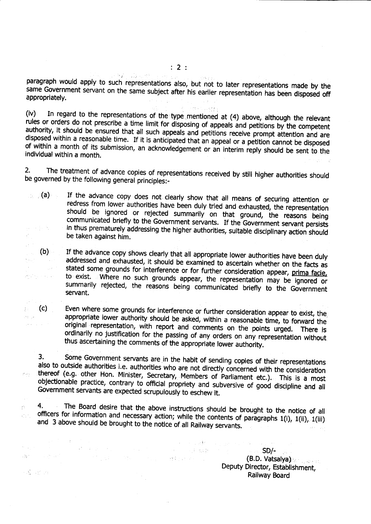paragraph would apply to such representations also, but not to later representations made by the same Government servant on the same subject after his earlier representation has been disposed off appropriately.

(iv) In regard to the representations of the type mentioned at (4) above, although the relevant<br>rules or orders do not prescribe a time limit for disposing of appeals and petitions by the competent<br>authority, it should be authority, it should be ensured that all such appeals and petitions receive prompt attention and are of within a month of its submission, an acknowledgement or an interim reply should be sent to the individual within a month.

2. The treatment of advance copies of representations received by still higher authorities should be governed by the following general principles:-

(a) If the advance copy does not clearly show that all means of securing attention or redress from lower authorities have been duly tried and exhausted, the representation should be ignored or rejected summarily on that gr

- (b) If the advance copy shows clearly that all appropriate lower authorities have been duly addressed and exhausted, it should be examined to ascertain whether on the facts as stated some grounds for interference or for fu  $\alpha_{\rm{max}}$
- (c) Even where some grounds for interference or further consideration appear to exist, the appropriate lower authority should be asked, within a reasonable time, to forward the original representation, with report and comm

3; Some Government servants are in the habit of sending copies of their representations  $\mathbb{P}^2$  ,  $\mathbb{P}^1$  , also to outside authorities i.e. authorities who are not directly concerned with the consideration thereof (e.g. other. Hon. Minister, Secretary, Members of Parliament etc.). This is a most objectionable practice contrary also to outside authorities i.e. authorities who are not directly concerned with the consideration Government servants are expected scrupulously to eschew it. objectionable practice, contrary to official propriety and subversive of good discipline and all

4. The Board desire that the above instructions should be brought to the notice of all officers for information and necessary action; while the contents of paragraphs  $1(i)$ ,  $1(ii)$ ,  $1(iii)$  and 3 above should be brought to 松 动力。

 $-134.5$ 

 $\sim N_{\rm c} \sim 10^{9}$  keV

and the most of the companion of the

 $SD/-$ (8.D. Vatsalya),, ., Deputy Director, Establishment, Railway Board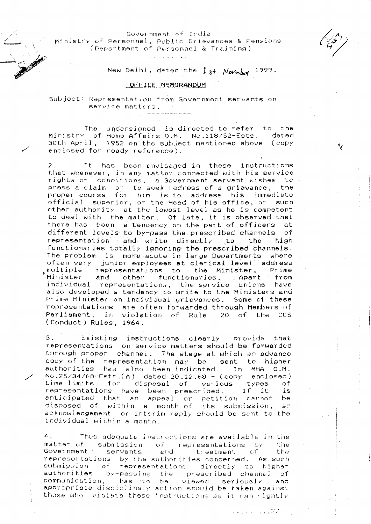Government of India Ministry of Personnel, Public Grievances & Pensions (Department of Personnel & Training)

New Delhi, dated the  $1$ st Novmber 1999.

#### OFFICE MEMORANDUM

Subject: Representation from Government servants on service matters.

The undersigned is directed to refer to the Ministry of Home Affairs O.M. No.118/52-Ests. dated 30th April, 1952 on the subject mentioned above (copy enclosed for ready reference).

It has been envisaged in these instructions  $2$ that whenever, in any mattor connected with his service rights or conditions, a Government servant wishes to press a claim or to seek redress of a grievance, the proper course for him is to address his immediate official superior, or the Head of his office, or such<br>other authority at the lowest level as he is competent to deal with the matter. Of late, it is observed that there has been a tendency on the part of officers at different levels to by-pass the prescribed channels of representation and write directly to the – high functionaries totally ignoring the prescribed channels. The problem is more acute in large Departments' where often very junior employees at clerical level address multiple representations to the Minister, Prime Minister and other functionaries. Apart from individual representations, the service unions have also developed a tendency to write to the Ministers and Prime Minister on individual grievances, Some of these representations are often forwarded through Members of<br>Parliament, in violation of Rule 20 of the CCS (Conduct) Rules, 1964.

 $3<sub>1</sub>$ Existing instructions clearly provide that representations on service matters should be forwarded through proper channel. The stage at which an advance copy of the representation may be sent to higher authorities has also been-indicated. In MHA O.M. No.25/34/68-Est.(A) dated 20.12.68 - (copy enclosed)<br>time limits for disposal of various types of<br>representations have been prescribed. If it is<br>anticipated that an appeal or petition cannot be<br>disposed of within a month o acknowledgement or interim reply should be sent to the individual within a month.

4. Thus adequate instructions are available in the matter of submission of representations by the servants Government \* and treatment of the representations by the authorities concerned. As such submission of representations directly to higher authorities by-passing the prescribed channel of communication, has to be viewed seriously and appropriate disciplinary action should be taken against those who violate these instructions as it can rightly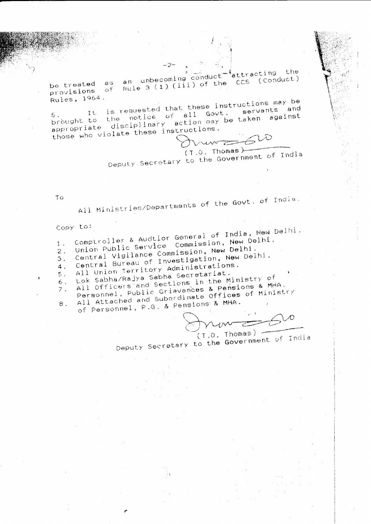-<sup>\*</sup>attracting the an unbecoming conduct Rule 3 (1) (111) of the CCS (Conduct) be treated as provisions of Rules, 1964.

It is requested that these instructions may be brought to the notice of all Govt. servants and appropriate disciplinary action may be taken against those who violate these instructions. run 2620

 $(T.0.$  Thomas) Deputy Secretary to the Government of India

To

All Ministries/Departments of the Govt. of India.

Copy to:

Comptroller & Audtior General of India, New Delhi. Union Public Service Commission, New Delhi.

 $1<sup>1</sup>$ 

Central Vigilance Commission, New Delhi.  $\overline{2}$ . Central Bureau of Investigation, New Delhi.

 $3.$  $4.$ 

All Union Territory Administrations.

Lok Sabha/Rajya Sabha Secretariat.  $5.$ All Officers and Sections in the Ministry of  $6.$ 

 $7.$ 

Personnel, Public Grievances & Pensions & MHA. All Attached and Subordinate Offices of Ministry

 $\uptheta$  .

of Personnel, P.G. & Pensions & MHA.

 $(T.0.$  Thomas) -

Deputy Secretary to the Government of India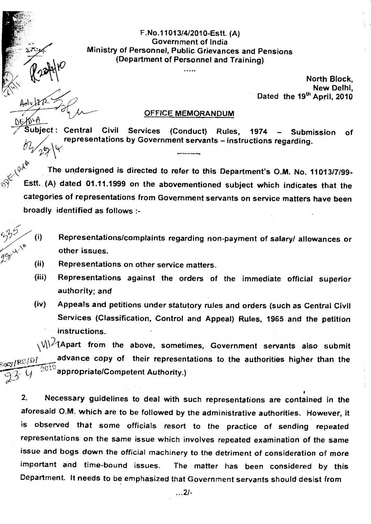F.No.11013/4/2010-Estt. (A) Government of lndia Ministry of Personnel, Public Grievances and pensions (Department of Personnel and Training)

. . . . .

North Block, New Delhi, Dated the  $19<sup>th</sup>$  April, 2010

### OFFICE MEMORANDUM

Subiect: Central Civil representations by Government servants - instructions regarding. Services (Conduct) Rules, 1974 - Submission of

'S The undersigned is directed to refer to this Department's O.M. No. 11013/7/99-Estt. (A) dated 01.11.1999 on the abovernentioned subject which indicates that the categories of representations from Govemment servants on service matters have been broadly identified as follows :-

- $55/$  (i) Representations/complaints regarding non-payment of salary/ allowances or other issues.
- $996 \times \frac{10}{10}$  (ii) Representations on other service matters.

"1'

- (iii) Representations against the orders of the immediate official superior authority; and
- (iv) Appeals and petitions under statutory rutes and orders (such as Central Civil Services (Classification, Control and Appeal) Rules, 1965 and the petition instructions.  $\overline{\phantom{0}}$

 $\setminus$ \/\ $\hspace{0.1em}\rule{0.7pt}{1.1em}\hspace{0.1em}\mathcal{M}$ \ $\hspace{0.1em}\rule{0.7pt}{1.8em}\hspace{0.1em}\mathcal{M}$  from, the above, sometimes, Government servants also submit  $\mathfrak{g}_\mathbf{U}$ is advance copy of their representations to the authorities higher than the appropriate/Competent Authority.)  $I^{\mathcal{R}\mathcal{L}/\mathcal{D}I}$  $\frac{1}{23}$  Y

2. Necessary guidelines to deal with such representations are contained in the aforesaid 0.M. which are to be followed by the administrative authorities.' However, it is observed that some officials resort to the practice of sending repeated representations on the same issue which involves repeated examination of the same issue and bogs down the official machinery to the detriment of consideration of more important and time-bound issues. The matter has been considered by this Department. It needs to be emphasized that Government servants should desist from